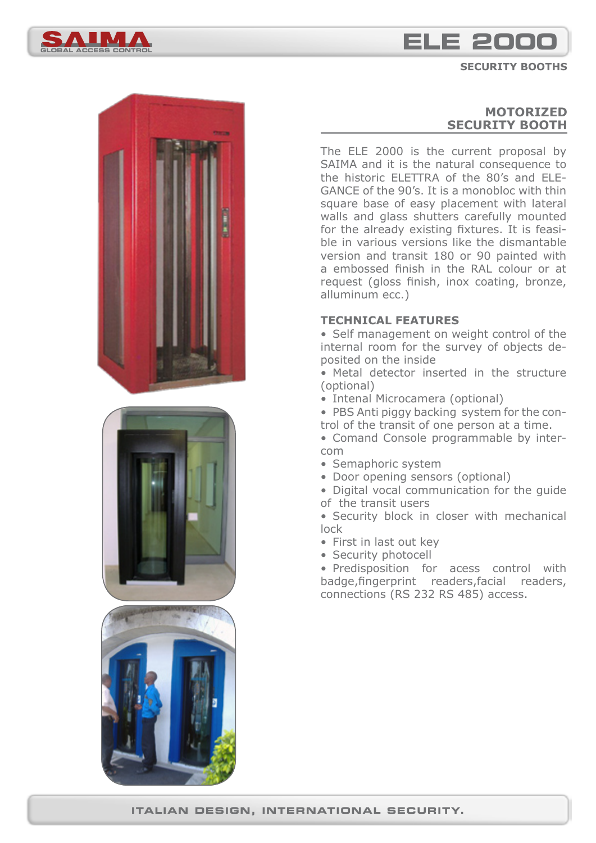

# **global access control ele 2000**

#### **SECURITY BOOTHS**







## **MOTORIZED SECURITY BOOTH**

The ELE 2000 is the current proposal by SAIMA and it is the natural consequence to the historic ELETTRA of the 80's and ELE-GANCE of the 90's. It is a monobloc with thin square base of easy placement with lateral walls and glass shutters carefully mounted for the already existing fixtures. It is feasible in various versions like the dismantable version and transit 180 or 90 painted with a embossed finish in the RAL colour or at request (gloss finish, inox coating, bronze, alluminum ecc.)

#### **TECHNICAL FEATURES**

• Self management on weight control of the internal room for the survey of objects deposited on the inside

• Metal detector inserted in the structure (optional)

• Intenal Microcamera (optional)

• PBS Anti piggy backing system for the control of the transit of one person at a time.

- Comand Console programmable by intercom
- Semaphoric system
- Door opening sensors (optional)

• Digital vocal communication for the guide of the transit users

• Security block in closer with mechanical lock

- First in last out key
- Security photocell

• Predisposition for acess control with badge,fingerprint readers,facial readers, connections (RS 232 RS 485) access.